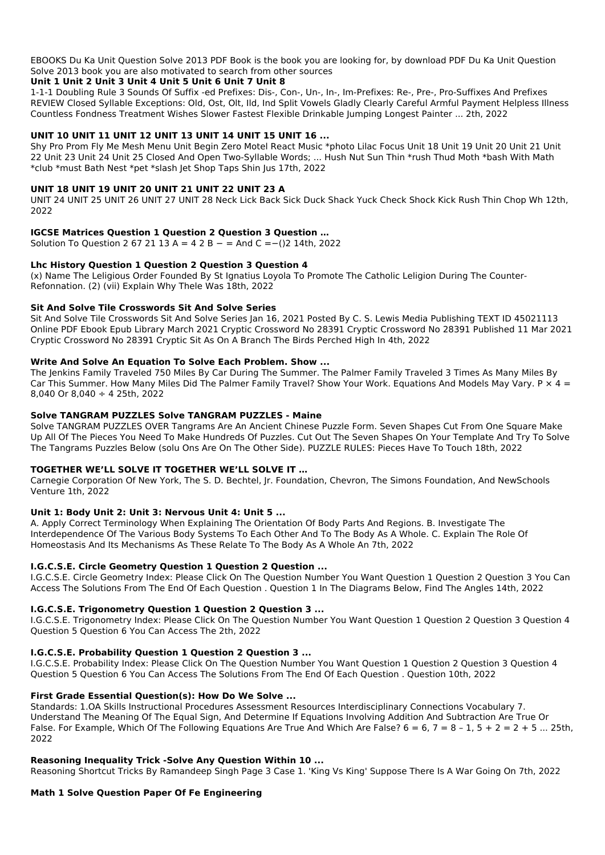## **Unit 1 Unit 2 Unit 3 Unit 4 Unit 5 Unit 6 Unit 7 Unit 8**

1-1-1 Doubling Rule 3 Sounds Of Suffix -ed Prefixes: Dis-, Con-, Un-, In-, Im-Prefixes: Re-, Pre-, Pro-Suffixes And Prefixes REVIEW Closed Syllable Exceptions: Old, Ost, Olt, Ild, Ind Split Vowels Gladly Clearly Careful Armful Payment Helpless Illness Countless Fondness Treatment Wishes Slower Fastest Flexible Drinkable Jumping Longest Painter ... 2th, 2022

# **UNIT 10 UNIT 11 UNIT 12 UNIT 13 UNIT 14 UNIT 15 UNIT 16 ...**

Shy Pro Prom Fly Me Mesh Menu Unit Begin Zero Motel React Music \*photo Lilac Focus Unit 18 Unit 19 Unit 20 Unit 21 Unit 22 Unit 23 Unit 24 Unit 25 Closed And Open Two-Syllable Words; ... Hush Nut Sun Thin \*rush Thud Moth \*bash With Math \*club \*must Bath Nest \*pet \*slash Jet Shop Taps Shin Jus 17th, 2022

# **UNIT 18 UNIT 19 UNIT 20 UNIT 21 UNIT 22 UNIT 23 A**

UNIT 24 UNIT 25 UNIT 26 UNIT 27 UNIT 28 Neck Lick Back Sick Duck Shack Yuck Check Shock Kick Rush Thin Chop Wh 12th, 2022

# **IGCSE Matrices Question 1 Question 2 Question 3 Question …**

Solution To Question 2 67 21 13 A = 4 2 B − = And C = -()2 14th, 2022

# **Lhc History Question 1 Question 2 Question 3 Question 4**

(x) Name The Leligious Order Founded By St Ignatius Loyola To Promote The Catholic Leligion During The Counter-Refonnation. (2) (vii) Explain Why Thele Was 18th, 2022

# **Sit And Solve Tile Crosswords Sit And Solve Series**

Sit And Solve Tile Crosswords Sit And Solve Series Jan 16, 2021 Posted By C. S. Lewis Media Publishing TEXT ID 45021113 Online PDF Ebook Epub Library March 2021 Cryptic Crossword No 28391 Cryptic Crossword No 28391 Published 11 Mar 2021 Cryptic Crossword No 28391 Cryptic Sit As On A Branch The Birds Perched High In 4th, 2022

# **Write And Solve An Equation To Solve Each Problem. Show ...**

The Jenkins Family Traveled 750 Miles By Car During The Summer. The Palmer Family Traveled 3 Times As Many Miles By Car This Summer. How Many Miles Did The Palmer Family Travel? Show Your Work. Equations And Models May Vary. P  $\times$  4 = 8,040 Or 8,040 ÷ 4 25th, 2022

# **Solve TANGRAM PUZZLES Solve TANGRAM PUZZLES - Maine**

Solve TANGRAM PUZZLES OVER Tangrams Are An Ancient Chinese Puzzle Form. Seven Shapes Cut From One Square Make Up All Of The Pieces You Need To Make Hundreds Of Puzzles. Cut Out The Seven Shapes On Your Template And Try To Solve The Tangrams Puzzles Below (solu Ons Are On The Other Side). PUZZLE RULES: Pieces Have To Touch 18th, 2022

# **TOGETHER WE'LL SOLVE IT TOGETHER WE'LL SOLVE IT …**

Carnegie Corporation Of New York, The S. D. Bechtel, Jr. Foundation, Chevron, The Simons Foundation, And NewSchools Venture 1th, 2022

# **Unit 1: Body Unit 2: Unit 3: Nervous Unit 4: Unit 5 ...**

A. Apply Correct Terminology When Explaining The Orientation Of Body Parts And Regions. B. Investigate The Interdependence Of The Various Body Systems To Each Other And To The Body As A Whole. C. Explain The Role Of Homeostasis And Its Mechanisms As These Relate To The Body As A Whole An 7th, 2022

# **I.G.C.S.E. Circle Geometry Question 1 Question 2 Question ...**

I.G.C.S.E. Circle Geometry Index: Please Click On The Question Number You Want Question 1 Question 2 Question 3 You Can Access The Solutions From The End Of Each Question . Question 1 In The Diagrams Below, Find The Angles 14th, 2022

# **I.G.C.S.E. Trigonometry Question 1 Question 2 Question 3 ...**

I.G.C.S.E. Trigonometry Index: Please Click On The Question Number You Want Question 1 Question 2 Question 3 Question 4 Question 5 Question 6 You Can Access The 2th, 2022

#### **I.G.C.S.E. Probability Question 1 Question 2 Question 3 ...**

I.G.C.S.E. Probability Index: Please Click On The Question Number You Want Question 1 Question 2 Question 3 Question 4 Question 5 Question 6 You Can Access The Solutions From The End Of Each Question . Question 10th, 2022

#### **First Grade Essential Question(s): How Do We Solve ...**

Standards: 1.OA Skills Instructional Procedures Assessment Resources Interdisciplinary Connections Vocabulary 7. Understand The Meaning Of The Equal Sign, And Determine If Equations Involving Addition And Subtraction Are True Or False. For Example, Which Of The Following Equations Are True And Which Are False?  $6 = 6$ ,  $7 = 8 - 1$ ,  $5 + 2 = 2 + 5$  ... 25th, 2022

#### **Reasoning Inequality Trick -Solve Any Question Within 10 ...**

Reasoning Shortcut Tricks By Ramandeep Singh Page 3 Case 1. 'King Vs King' Suppose There Is A War Going On 7th, 2022

**Math 1 Solve Question Paper Of Fe Engineering**